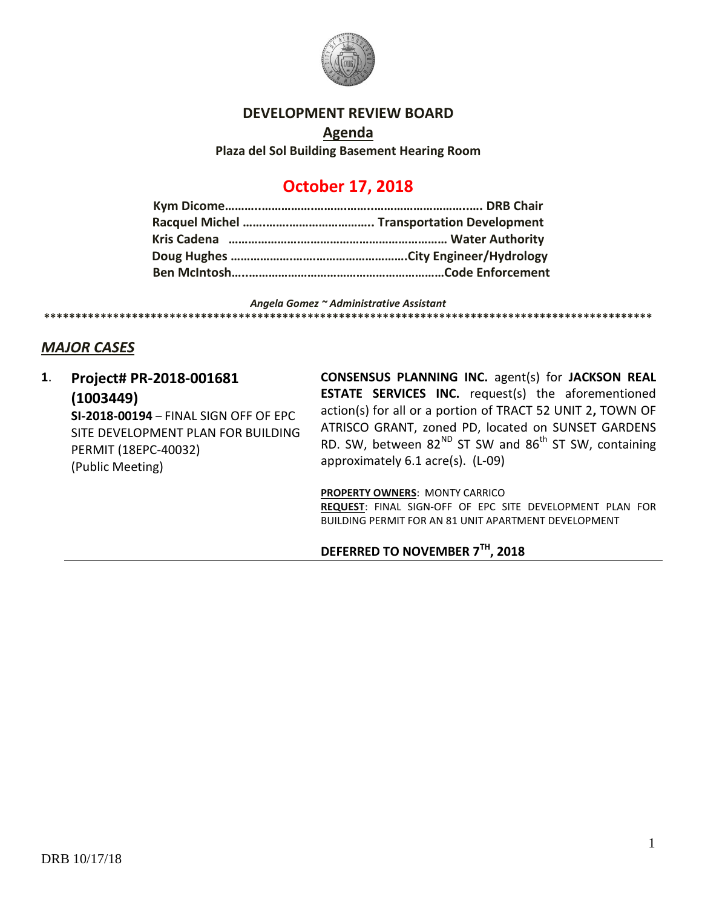

## **DEVELOPMENT REVIEW BOARD**

**Agenda Plaza del Sol Building Basement Hearing Room**

# **October 17, 2018**

*Angela Gomez ~ Administrative Assistant* **\*\*\*\*\*\*\*\*\*\*\*\*\*\*\*\*\*\*\*\*\*\*\*\*\*\*\*\*\*\*\*\*\*\*\*\*\*\*\*\*\*\*\*\*\*\*\*\*\*\*\*\*\*\*\*\*\*\*\*\*\*\*\*\*\*\*\*\*\*\*\*\*\*\*\*\*\*\*\*\*\*\*\*\*\*\*\*\*\*\*\*\*\*\*\*\*\***

# *MAJOR CASES*

**1**. **Project# PR-2018-001681 (1003449) SI-2018-00194** – FINAL SIGN OFF OF EPC SITE DEVELOPMENT PLAN FOR BUILDING PERMIT (18EPC-40032) (Public Meeting)

**CONSENSUS PLANNING INC.** agent(s) for **JACKSON REAL ESTATE SERVICES INC.** request(s) the aforementioned action(s) for all or a portion of TRACT 52 UNIT 2**,** TOWN OF ATRISCO GRANT, zoned PD, located on SUNSET GARDENS RD. SW, between  $82^{ND}$  ST SW and  $86^{th}$  ST SW, containing approximately 6.1 acre(s). (L-09)

**PROPERTY OWNERS**: MONTY CARRICO

**REQUEST**: FINAL SIGN-OFF OF EPC SITE DEVELOPMENT PLAN FOR BUILDING PERMIT FOR AN 81 UNIT APARTMENT DEVELOPMENT

## **DEFERRED TO NOVEMBER 7TH, 2018**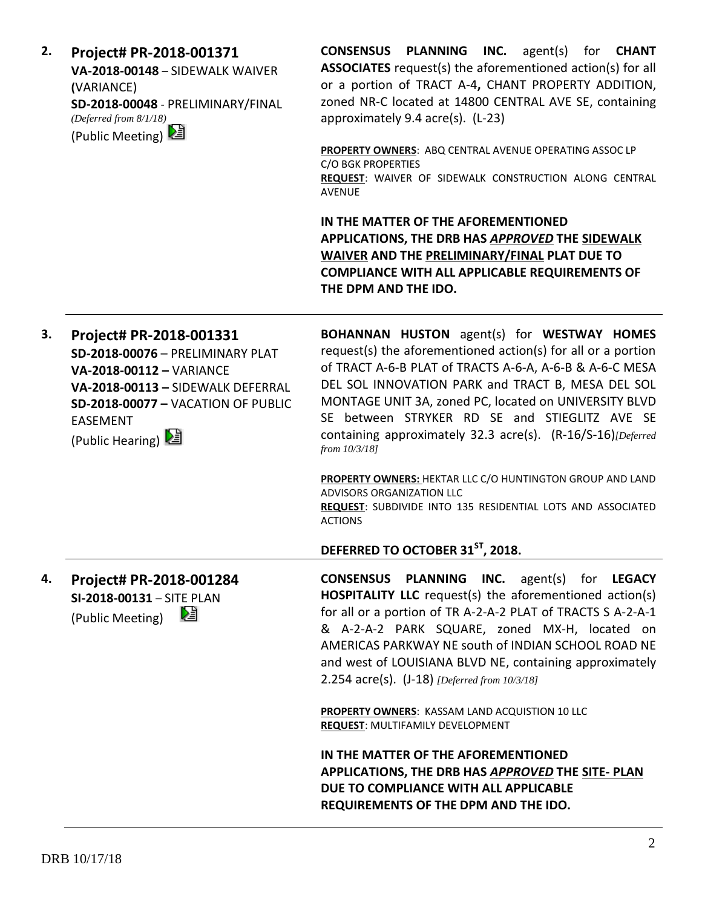| 2. | Project# PR-2018-001371<br>VA-2018-00148 - SIDEWALK WAIVER<br>(VARIANCE)<br>SD-2018-00048 - PRELIMINARY/FINAL<br>(Deferred from 8/1/18)<br>(Public Meeting) 2                                               | <b>CONSENSUS PLANNING INC.</b> agent(s) for <b>CHANT</b><br><b>ASSOCIATES</b> request(s) the aforementioned action(s) for all<br>or a portion of TRACT A-4, CHANT PROPERTY ADDITION,<br>zoned NR-C located at 14800 CENTRAL AVE SE, containing<br>approximately 9.4 acre(s). (L-23)<br>PROPERTY OWNERS: ABQ CENTRAL AVENUE OPERATING ASSOC LP<br>C/O BGK PROPERTIES<br>REQUEST: WAIVER OF SIDEWALK CONSTRUCTION ALONG CENTRAL<br><b>AVENUE</b> |
|----|-------------------------------------------------------------------------------------------------------------------------------------------------------------------------------------------------------------|------------------------------------------------------------------------------------------------------------------------------------------------------------------------------------------------------------------------------------------------------------------------------------------------------------------------------------------------------------------------------------------------------------------------------------------------|
|    |                                                                                                                                                                                                             | IN THE MATTER OF THE AFOREMENTIONED<br>APPLICATIONS, THE DRB HAS APPROVED THE SIDEWALK<br><b>WAIVER AND THE PRELIMINARY/FINAL PLAT DUE TO</b><br><b>COMPLIANCE WITH ALL APPLICABLE REQUIREMENTS OF</b><br>THE DPM AND THE IDO.                                                                                                                                                                                                                 |
| 3. | Project# PR-2018-001331<br>SD-2018-00076 - PRELIMINARY PLAT<br>VA-2018-00112 - VARIANCE<br>VA-2018-00113 - SIDEWALK DEFERRAL<br>SD-2018-00077 - VACATION OF PUBLIC<br><b>EASEMENT</b><br>(Public Hearing) 2 | <b>BOHANNAN HUSTON</b> agent(s) for <b>WESTWAY HOMES</b><br>request(s) the aforementioned action(s) for all or a portion<br>of TRACT A-6-B PLAT of TRACTS A-6-A, A-6-B & A-6-C MESA<br>DEL SOL INNOVATION PARK and TRACT B, MESA DEL SOL<br>MONTAGE UNIT 3A, zoned PC, located on UNIVERSITY BLVD<br>SE between STRYKER RD SE and STIEGLITZ AVE SE<br>containing approximately 32.3 acre(s). (R-16/S-16)[Deferred<br>from 10/3/18]             |
|    |                                                                                                                                                                                                             | PROPERTY OWNERS: HEKTAR LLC C/O HUNTINGTON GROUP AND LAND<br>ADVISORS ORGANIZATION LLC<br>REQUEST: SUBDIVIDE INTO 135 RESIDENTIAL LOTS AND ASSOCIATED<br><b>ACTIONS</b>                                                                                                                                                                                                                                                                        |
|    |                                                                                                                                                                                                             | DEFERRED TO OCTOBER 31 <sup>ST</sup> , 2018.                                                                                                                                                                                                                                                                                                                                                                                                   |
| 4. | Project# PR-2018-001284<br>SI-2018-00131 - SITE PLAN<br>è<br>(Public Meeting)                                                                                                                               | CONSENSUS PLANNING INC.<br>agent(s) for <b>LEGACY</b><br><b>HOSPITALITY LLC</b> request(s) the aforementioned action(s)<br>for all or a portion of TR A-2-A-2 PLAT of TRACTS S A-2-A-1<br>& A-2-A-2 PARK SQUARE, zoned MX-H, located on<br>AMERICAS PARKWAY NE south of INDIAN SCHOOL ROAD NE<br>and west of LOUISIANA BLVD NE, containing approximately<br>2.254 $\arccos $ . (J-18) [Deferred from 10/3/18]                                  |
|    |                                                                                                                                                                                                             | <b>PROPERTY OWNERS: KASSAM LAND ACQUISTION 10 LLC</b><br>REQUEST: MULTIFAMILY DEVELOPMENT                                                                                                                                                                                                                                                                                                                                                      |
|    |                                                                                                                                                                                                             | IN THE MATTER OF THE AFOREMENTIONED<br>APPLICATIONS, THE DRB HAS APPROVED THE SITE- PLAN<br>DUE TO COMPLIANCE WITH ALL APPLICABLE<br>REQUIREMENTS OF THE DPM AND THE IDO.                                                                                                                                                                                                                                                                      |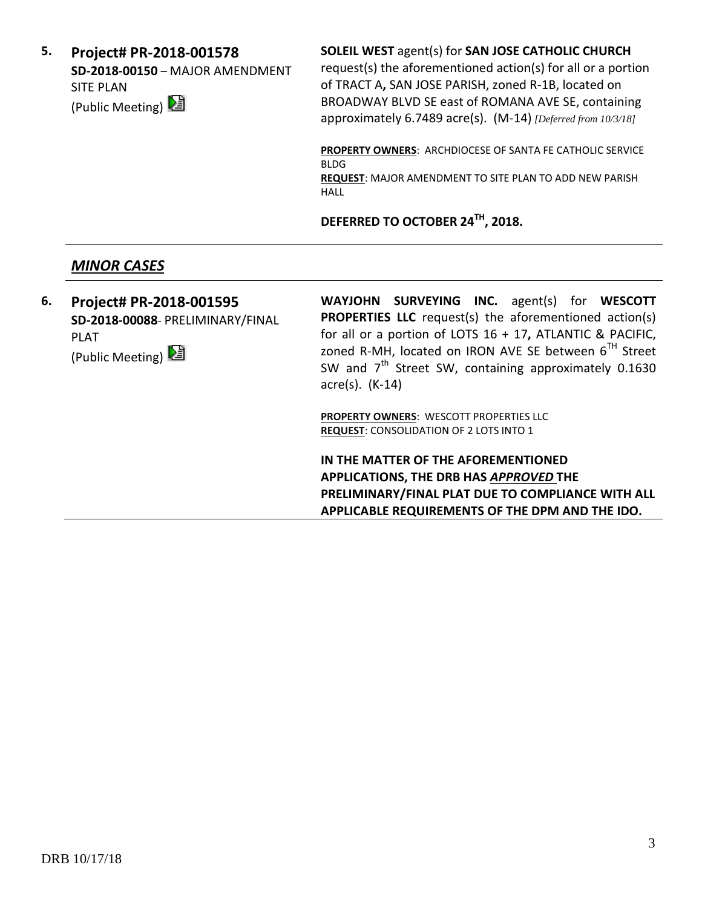**5. Project# PR-2018-001578 SD-2018-00150** – MAJOR AMENDMENT SITE PLAN (Public Meeting)

#### **SOLEIL WEST** agent(s) for **SAN JOSE CATHOLIC CHURCH**

request(s) the aforementioned action(s) for all or a portion of TRACT A**,** SAN JOSE PARISH, zoned R-1B, located on BROADWAY BLVD SE east of ROMANA AVE SE, containing approximately 6.7489 acre(s). (M-14) *[Deferred from 10/3/18]*

**PROPERTY OWNERS**: ARCHDIOCESE OF SANTA FE CATHOLIC SERVICE BLDG

**REQUEST**: MAJOR AMENDMENT TO SITE PLAN TO ADD NEW PARISH HALL

**DEFERRED TO OCTOBER 24TH, 2018.**

# *MINOR CASES*

**6. Project# PR-2018-001595 SD-2018-00088**- PRELIMINARY/FINAL PLAT (Public Meeting) **WAYJOHN SURVEYING INC.** agent(s) for **WESCOTT PROPERTIES LLC** request(s) the aforementioned action(s) for all or a portion of LOTS 16 + 17**,** ATLANTIC & PACIFIC, zoned R-MH, located on IRON AVE SE between 6TH Street SW and  $7<sup>th</sup>$  Street SW, containing approximately 0.1630 acre(s). (K-14)

> **PROPERTY OWNERS**: WESCOTT PROPERTIES LLC **REQUEST**: CONSOLIDATION OF 2 LOTS INTO 1

**IN THE MATTER OF THE AFOREMENTIONED APPLICATIONS, THE DRB HAS** *APPROVED* **THE PRELIMINARY/FINAL PLAT DUE TO COMPLIANCE WITH ALL APPLICABLE REQUIREMENTS OF THE DPM AND THE IDO.**